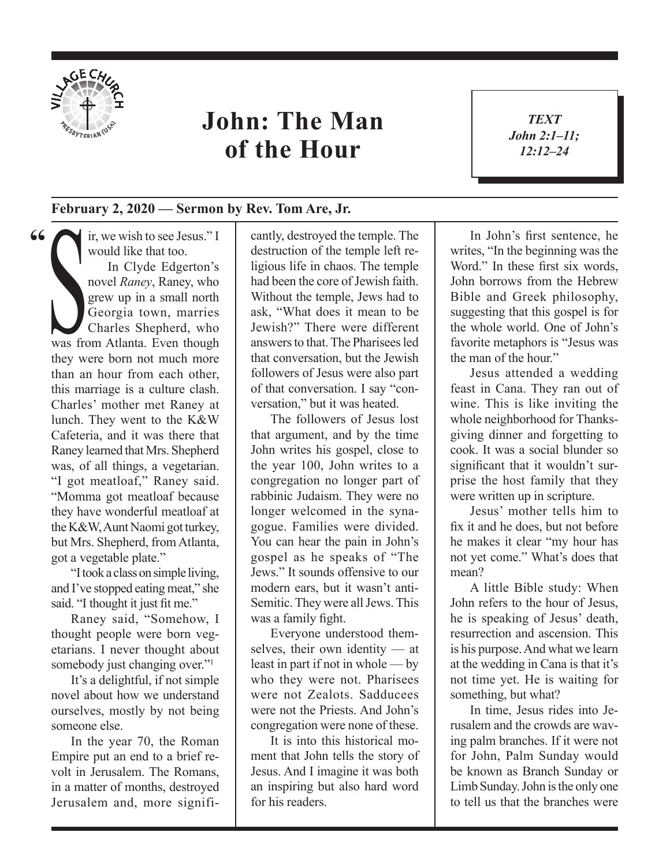

**"**

## **John: The Man of the Hour**

*TEXT John 2:1–11; 12:12–24*

1

## **February 2, 2020 — Sermon by Rev. Tom Are, Jr.**

ir, we wish to see Jesus." I<br>
would like that too.<br>
In Clyde Edgerton's<br>
novel *Raney*, Raney, who<br>
grew up in a small north<br>
Georgia town, marries<br>
Charles Shepherd, who<br>
was from Atlanta. Even though would like that too. In Clyde Edgerton's novel *Raney*, Raney, who grew up in a small north Georgia town, marries Charles Shepherd, who they were born not much more than an hour from each other, this marriage is a culture clash. Charles' mother met Raney at lunch. They went to the K&W Cafeteria, and it was there that Raney learned that Mrs. Shepherd was, of all things, a vegetarian. "I got meatloaf," Raney said. "Momma got meatloaf because they have wonderful meatloaf at the K&W, Aunt Naomi got turkey, but Mrs. Shepherd, from Atlanta, got a vegetable plate."

"I took a class on simple living, and I've stopped eating meat," she said. "I thought it just fit me."

Raney said, "Somehow, I thought people were born vegetarians. I never thought about somebody just changing over."<sup>1</sup>

It's a delightful, if not simple novel about how we understand ourselves, mostly by not being someone else.

In the year 70, the Roman Empire put an end to a brief revolt in Jerusalem. The Romans, in a matter of months, destroyed Jerusalem and, more significantly, destroyed the temple. The destruction of the temple left religious life in chaos. The temple had been the core of Jewish faith. Without the temple, Jews had to ask, "What does it mean to be Jewish?" There were different answers to that. The Pharisees led that conversation, but the Jewish followers of Jesus were also part of that conversation. I say "conversation," but it was heated.

The followers of Jesus lost that argument, and by the time John writes his gospel, close to the year 100, John writes to a congregation no longer part of rabbinic Judaism. They were no longer welcomed in the synagogue. Families were divided. You can hear the pain in John's gospel as he speaks of "The Jews." It sounds offensive to our modern ears, but it wasn't anti-Semitic. They were all Jews. This was a family fight.

Everyone understood themselves, their own identity — at least in part if not in whole — by who they were not. Pharisees were not Zealots. Sadducees were not the Priests. And John's congregation were none of these.

It is into this historical moment that John tells the story of Jesus. And I imagine it was both an inspiring but also hard word for his readers.

In John's first sentence, he writes, "In the beginning was the Word." In these first six words. John borrows from the Hebrew Bible and Greek philosophy, suggesting that this gospel is for the whole world. One of John's favorite metaphors is "Jesus was the man of the hour."

Jesus attended a wedding feast in Cana. They ran out of wine. This is like inviting the whole neighborhood for Thanksgiving dinner and forgetting to cook. It was a social blunder so significant that it wouldn't surprise the host family that they were written up in scripture.

Jesus' mother tells him to fix it and he does, but not before he makes it clear "my hour has not yet come." What's does that mean?

A little Bible study: When John refers to the hour of Jesus, he is speaking of Jesus' death, resurrection and ascension. This is his purpose. And what we learn at the wedding in Cana is that it's not time yet. He is waiting for something, but what?

In time, Jesus rides into Jerusalem and the crowds are waving palm branches. If it were not for John, Palm Sunday would be known as Branch Sunday or Limb Sunday. John is the only one to tell us that the branches were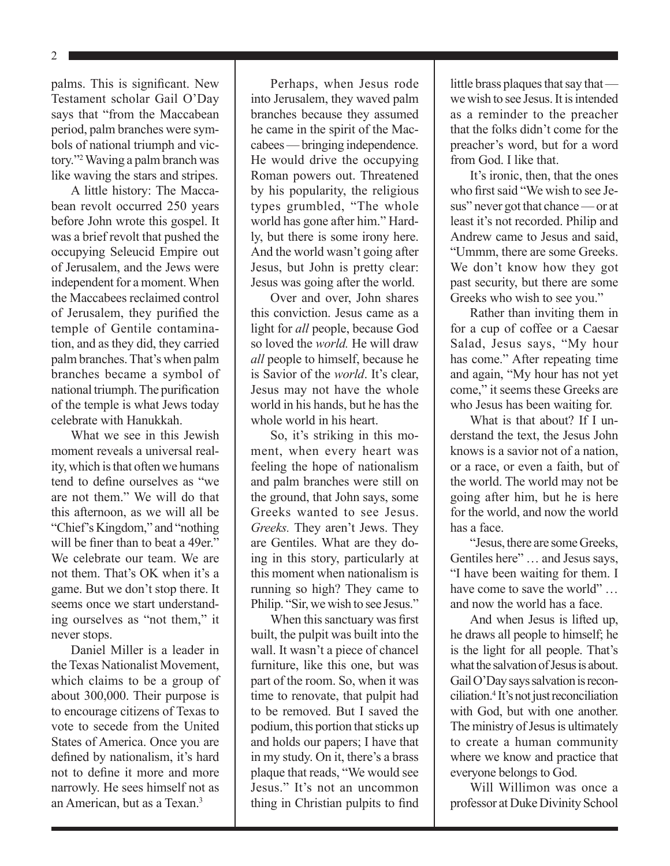palms. This is significant. New Testament scholar Gail O'Day says that "from the Maccabean period, palm branches were symbols of national triumph and victory."2 Waving a palm branch was like waving the stars and stripes.

A little history: The Maccabean revolt occurred 250 years before John wrote this gospel. It was a brief revolt that pushed the occupying Seleucid Empire out of Jerusalem, and the Jews were independent for a moment. When the Maccabees reclaimed control of Jerusalem, they purified the temple of Gentile contamination, and as they did, they carried palm branches. That's when palm branches became a symbol of national triumph. The purification of the temple is what Jews today celebrate with Hanukkah.

What we see in this Jewish moment reveals a universal reality, which is that often we humans tend to define ourselves as "we are not them." We will do that this afternoon, as we will all be "Chief's Kingdom," and "nothing will be finer than to beat a 49er." We celebrate our team. We are not them. That's OK when it's a game. But we don't stop there. It seems once we start understanding ourselves as "not them," it never stops.

Daniel Miller is a leader in the Texas Nationalist Movement, which claims to be a group of about 300,000. Their purpose is to encourage citizens of Texas to vote to secede from the United States of America. Once you are defined by nationalism, it's hard not to define it more and more narrowly. He sees himself not as an American, but as a Texan.<sup>3</sup>

Perhaps, when Jesus rode into Jerusalem, they waved palm branches because they assumed he came in the spirit of the Maccabees — bringing independence. He would drive the occupying Roman powers out. Threatened by his popularity, the religious types grumbled, "The whole world has gone after him." Hardly, but there is some irony here. And the world wasn't going after Jesus, but John is pretty clear: Jesus was going after the world.

Over and over, John shares this conviction. Jesus came as a light for *all* people, because God so loved the *world.* He will draw *all* people to himself, because he is Savior of the *world*. It's clear, Jesus may not have the whole world in his hands, but he has the whole world in his heart.

So, it's striking in this moment, when every heart was feeling the hope of nationalism and palm branches were still on the ground, that John says, some Greeks wanted to see Jesus. *Greeks.* They aren't Jews. They are Gentiles. What are they doing in this story, particularly at this moment when nationalism is running so high? They came to Philip. "Sir, we wish to see Jesus."

When this sanctuary was first built, the pulpit was built into the wall. It wasn't a piece of chancel furniture, like this one, but was part of the room. So, when it was time to renovate, that pulpit had to be removed. But I saved the podium, this portion that sticks up and holds our papers; I have that in my study. On it, there's a brass plaque that reads, "We would see Jesus." It's not an uncommon thing in Christian pulpits to find little brass plaques that say that we wish to see Jesus. It is intended as a reminder to the preacher that the folks didn't come for the preacher's word, but for a word from God. I like that.

It's ironic, then, that the ones who first said "We wish to see Jesus" never got that chance — or at least it's not recorded. Philip and Andrew came to Jesus and said, "Ummm, there are some Greeks. We don't know how they got past security, but there are some Greeks who wish to see you."

Rather than inviting them in for a cup of coffee or a Caesar Salad, Jesus says, "My hour has come." After repeating time and again, "My hour has not yet come," it seems these Greeks are who Jesus has been waiting for.

What is that about? If I understand the text, the Jesus John knows is a savior not of a nation, or a race, or even a faith, but of the world. The world may not be going after him, but he is here for the world, and now the world has a face.

"Jesus, there are some Greeks, Gentiles here" … and Jesus says, "I have been waiting for them. I have come to save the world" ... and now the world has a face.

And when Jesus is lifted up, he draws all people to himself; he is the light for all people. That's what the salvation of Jesus is about. Gail O'Day says salvation is reconciliation.<sup>4</sup> It's not just reconciliation with God, but with one another. The ministry of Jesus is ultimately to create a human community where we know and practice that everyone belongs to God.

Will Willimon was once a professor at Duke Divinity School